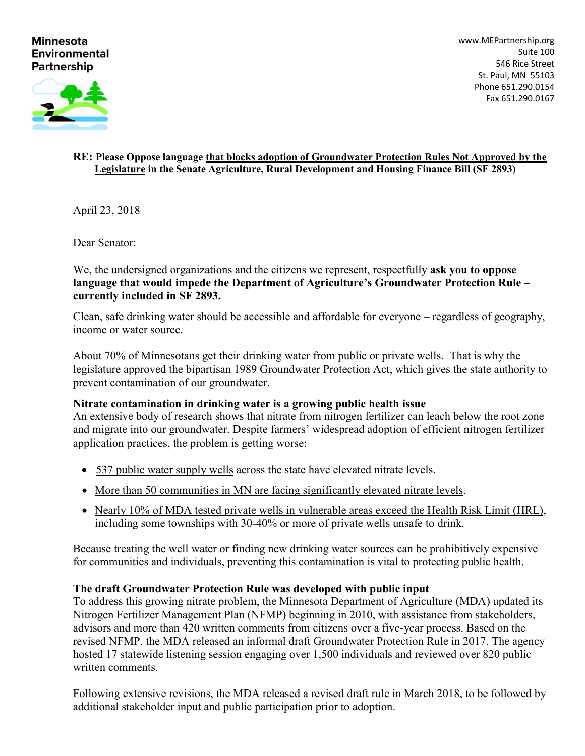#### **Minnesota Environmental Partnership**

[www.MEPartnership.org](http://www.mepartnership.org/) Suite 100 546 Rice Street St. Paul, MN 55103 Phone 651.290.0154 Fax 651.290.0167



#### **RE: Please Oppose language that blocks adoption of Groundwater Protection Rules Not Approved by the Legislature in the Senate Agriculture, Rural Development and Housing Finance Bill (SF 2893)**

April 23, 2018

Dear Senator:

We, the undersigned organizations and the citizens we represent, respectfully **ask you to oppose language that would impede the Department of Agriculture's Groundwater Protection Rule – currently included in SF 2893.** 

Clean, safe drinking water should be accessible and affordable for everyone – regardless of geography, income or water source.

About 70% of Minnesotans get their drinking water from public or private wells. That is why the legislature approved the bipartisan 1989 Groundwater Protection Act, which gives the state authority to prevent contamination of our groundwater.

## **Nitrate contamination in drinking water is a growing public health issue**

An extensive body of research shows that nitrate from nitrogen fertilizer can leach below the root zone and migrate into our groundwater. Despite farmers' widespread adoption of efficient nitrogen fertilizer application practices, the problem is getting worse:

- 537 public water supply wells across the state have elevated nitrate levels.
- More than 50 communities in MN are facing significantly elevated nitrate levels.
- Nearly 10% of MDA tested private wells in vulnerable areas exceed the Health Risk Limit (HRL), including some townships with 30-40% or more of private wells unsafe to drink.

Because treating the well water or finding new drinking water sources can be prohibitively expensive for communities and individuals, preventing this contamination is vital to protecting public health.

## **The draft Groundwater Protection Rule was developed with public input**

To address this growing nitrate problem, the Minnesota Department of Agriculture (MDA) updated its Nitrogen Fertilizer Management Plan (NFMP) beginning in 2010, with assistance from stakeholders, advisors and more than 420 written comments from citizens over a five-year process. Based on the revised NFMP, the MDA released an informal draft Groundwater Protection Rule in 2017. The agency hosted 17 statewide listening session engaging over 1,500 individuals and reviewed over 820 public written comments.

Following extensive revisions, the MDA released a revised draft rule in March 2018, to be followed by additional stakeholder input and public participation prior to adoption.